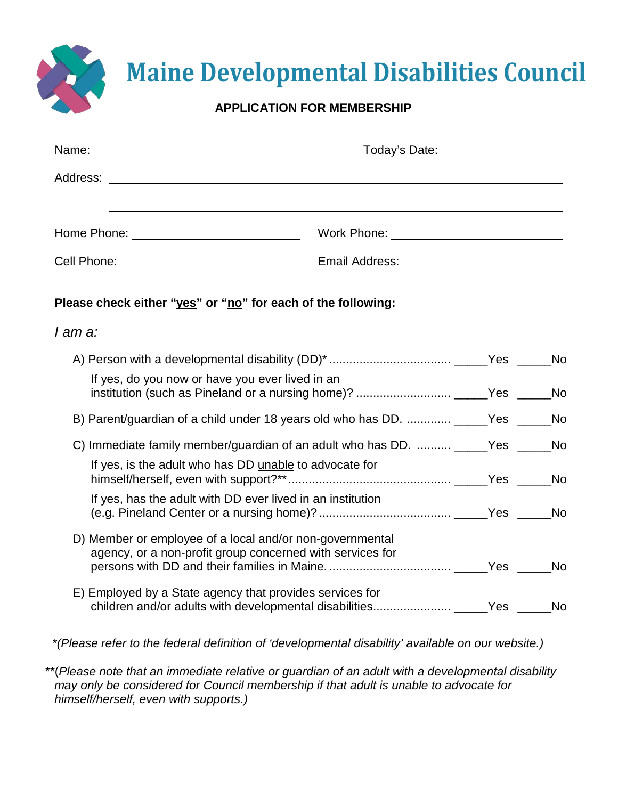|  | <b>Maine Developmental Disabilities Council</b> |  |  |
|--|-------------------------------------------------|--|--|
|  |                                                 |  |  |

## **APPLICATION FOR MEMBERSHIP**

X

|                                                                                                                       | Today's Date: _____________________                                                   |  |
|-----------------------------------------------------------------------------------------------------------------------|---------------------------------------------------------------------------------------|--|
|                                                                                                                       |                                                                                       |  |
|                                                                                                                       |                                                                                       |  |
|                                                                                                                       | Email Address: National Address: National Address: National Address: National Address |  |
| Please check either "yes" or "no" for each of the following:                                                          |                                                                                       |  |
| I am a:                                                                                                               |                                                                                       |  |
|                                                                                                                       |                                                                                       |  |
| If yes, do you now or have you ever lived in an                                                                       |                                                                                       |  |
| B) Parent/guardian of a child under 18 years old who has DD.  _____Yes ____                                           | <b>No</b>                                                                             |  |
| C) Immediate family member/guardian of an adult who has DD.  ______Yes ____                                           | <b>No</b>                                                                             |  |
| If yes, is the adult who has DD unable to advocate for                                                                |                                                                                       |  |
| If yes, has the adult with DD ever lived in an institution                                                            |                                                                                       |  |
| D) Member or employee of a local and/or non-governmental<br>agency, or a non-profit group concerned with services for |                                                                                       |  |
| E) Employed by a State agency that provides services for                                                              |                                                                                       |  |

 *\*(Please refer to the federal definition of 'developmental disability' available on our website.)*

\*\*(*Please note that an immediate relative or guardian of an adult with a developmental disability may only be considered for Council membership if that adult is unable to advocate for himself/herself, even with supports.)*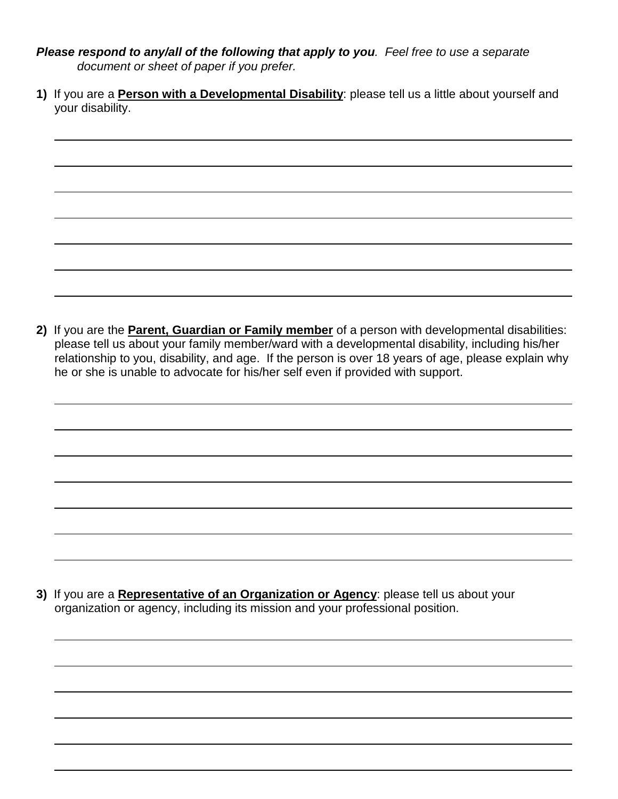- *Please respond to any/all of the following that apply to you. Feel free to use a separate document or sheet of paper if you prefer.*
- **1)** If you are a **Person with a Developmental Disability**: please tell us a little about yourself and your disability.

**2)** If you are the **Parent, Guardian or Family member** of a person with developmental disabilities: please tell us about your family member/ward with a developmental disability, including his/her relationship to you, disability, and age. If the person is over 18 years of age, please explain why he or she is unable to advocate for his/her self even if provided with support.

**3)** If you are a **Representative of an Organization or Agency**: please tell us about your organization or agency, including its mission and your professional position.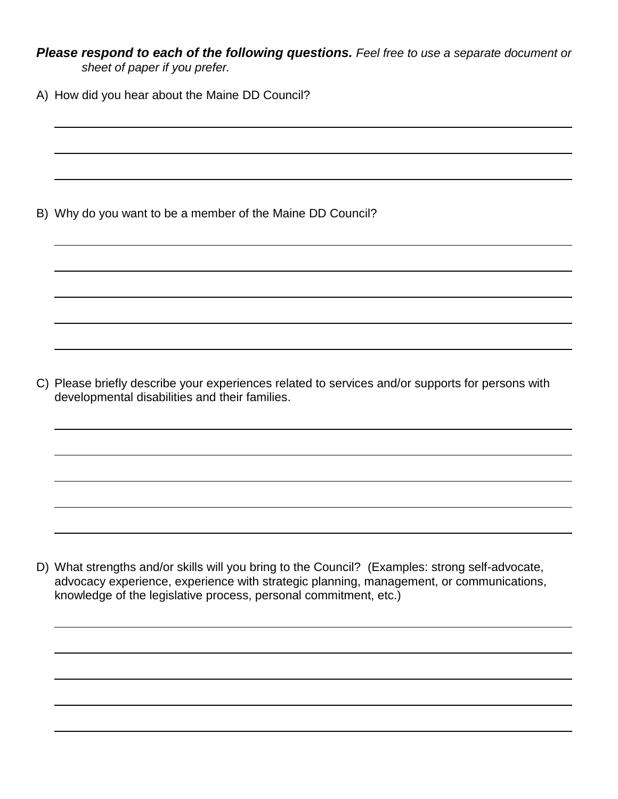*Please respond to each of the following questions. Feel free to use a separate document or sheet of paper if you prefer.*

A) How did you hear about the Maine DD Council?

B) Why do you want to be a member of the Maine DD Council?

C) Please briefly describe your experiences related to services and/or supports for persons with developmental disabilities and their families.

D) What strengths and/or skills will you bring to the Council? (Examples: strong self-advocate, advocacy experience, experience with strategic planning, management, or communications, knowledge of the legislative process, personal commitment, etc.)